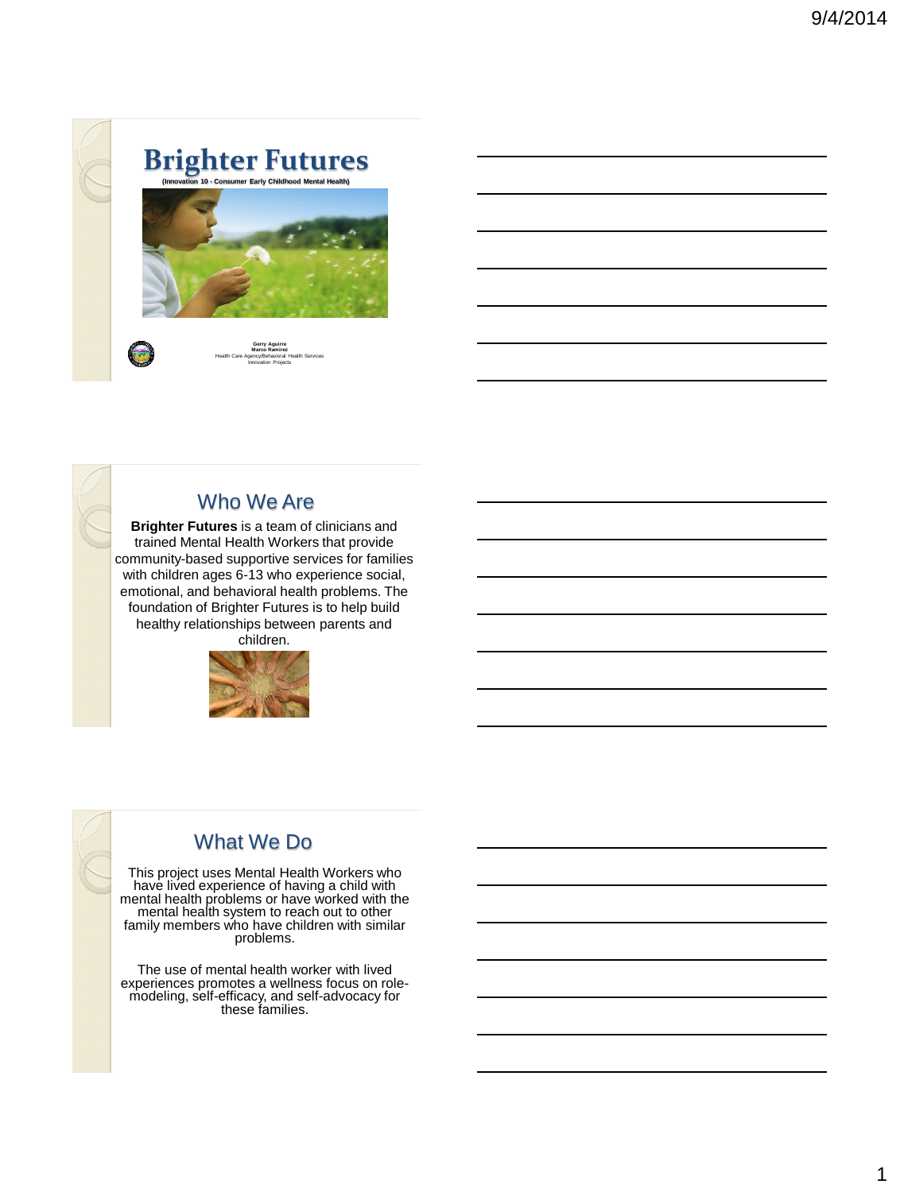



**Gerry Aguirre Marco Ramirez** Health Care Agency/Behavioral Health Services Innovation Projects



#### Who We Are

**Brighter Futures** is a team of clinicians and trained Mental Health Workers that provide community-based supportive services for families with children ages 6-13 who experience social, emotional, and behavioral health problems. The foundation of Brighter Futures is to help build healthy relationships between parents and children.



## What We Do

This project uses Mental Health Workers who have lived experience of having a child with mental health problems or have worked with the mental health system to reach out to other family members who have children with similar problems.

The use of mental health worker with lived experiences promotes a wellness focus on rolemodeling, self-efficacy, and self-advocacy for these families.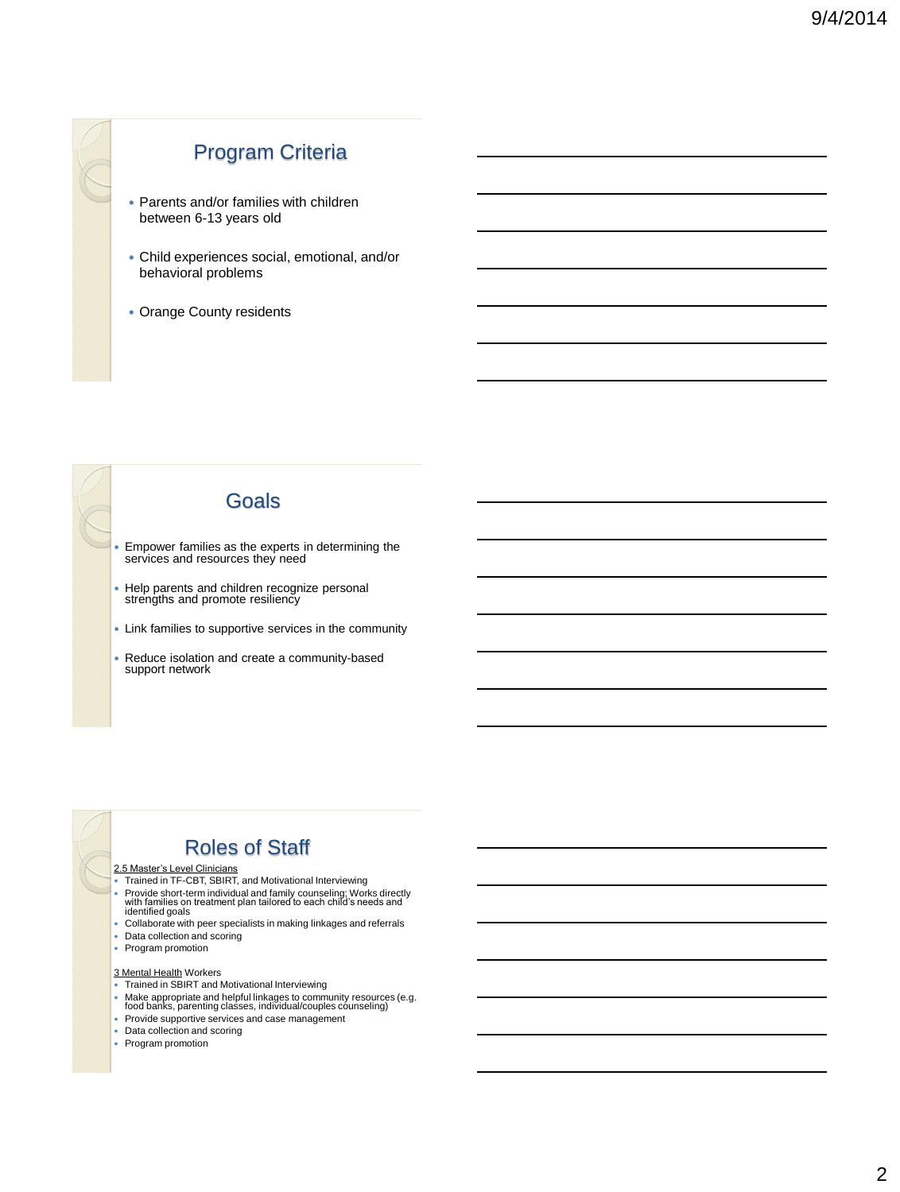## Program Criteria

- Parents and/or families with children between 6-13 years old
- Child experiences social, emotional, and/or behavioral problems
- Orange County residents

#### Goals

- Empower families as the experts in determining the services and resources they need
- Help parents and children recognize personal strengths and promote resiliency
- Link families to supportive services in the community
- Reduce isolation and create a community-based support network

## Roles of Staff

- 2.5 Master's Level Clinicians Trained in TF-CBT, SBIRT, and Motivational Interviewing Provide short-term individual and family counseling; Works directly with families on treatment plan tailored to each child's needs and identified goals
- 
- Collaborate with peer specialists in making linkages and referrals
- Data collection and scoring
- Program promotion

#### 3 Mental Health Workers

- Trained in SBIRT and Motivational Interviewing
- Make appropriate and helpful linkages to community resources (e.g. food banks, parenting classes, individual/couples counseling)
- Provide supportive services and case management
- Data collection and scoring
- Program promotion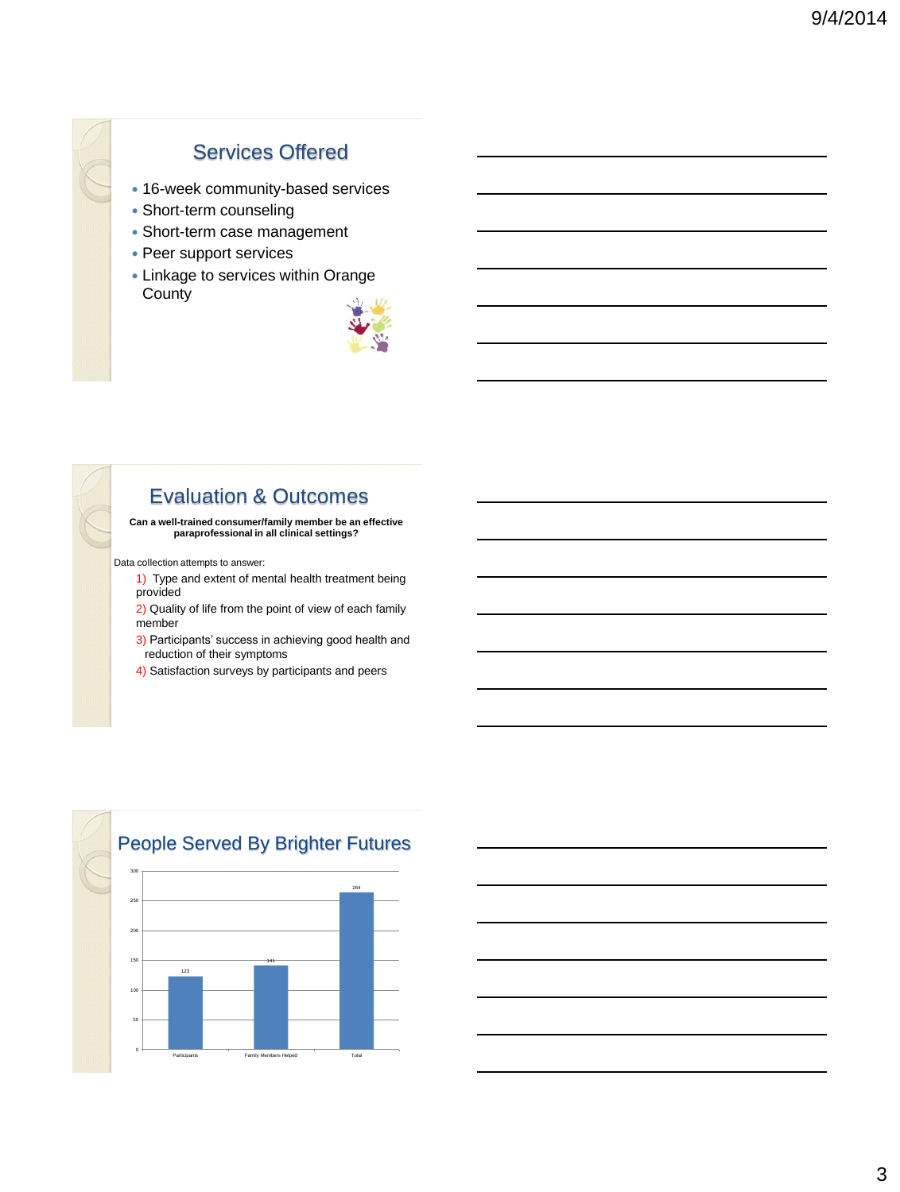## Services Offered

- 16-week community-based services
- Short-term counseling
- Short-term case management
- Peer support services
- Linkage to services within Orange **County**



## Evaluation & Outcomes

**Can a well-trained consumer/family member be an effective paraprofessional in all clinical settings?**

Data collection attempts to answer:

- 1) Type and extent of mental health treatment being provided
- 2) Quality of life from the point of view of each family member
- 3) Participants' success in achieving good health and reduction of their symptoms
- 4) Satisfaction surveys by participants and peers



### People Served By Brighter Futures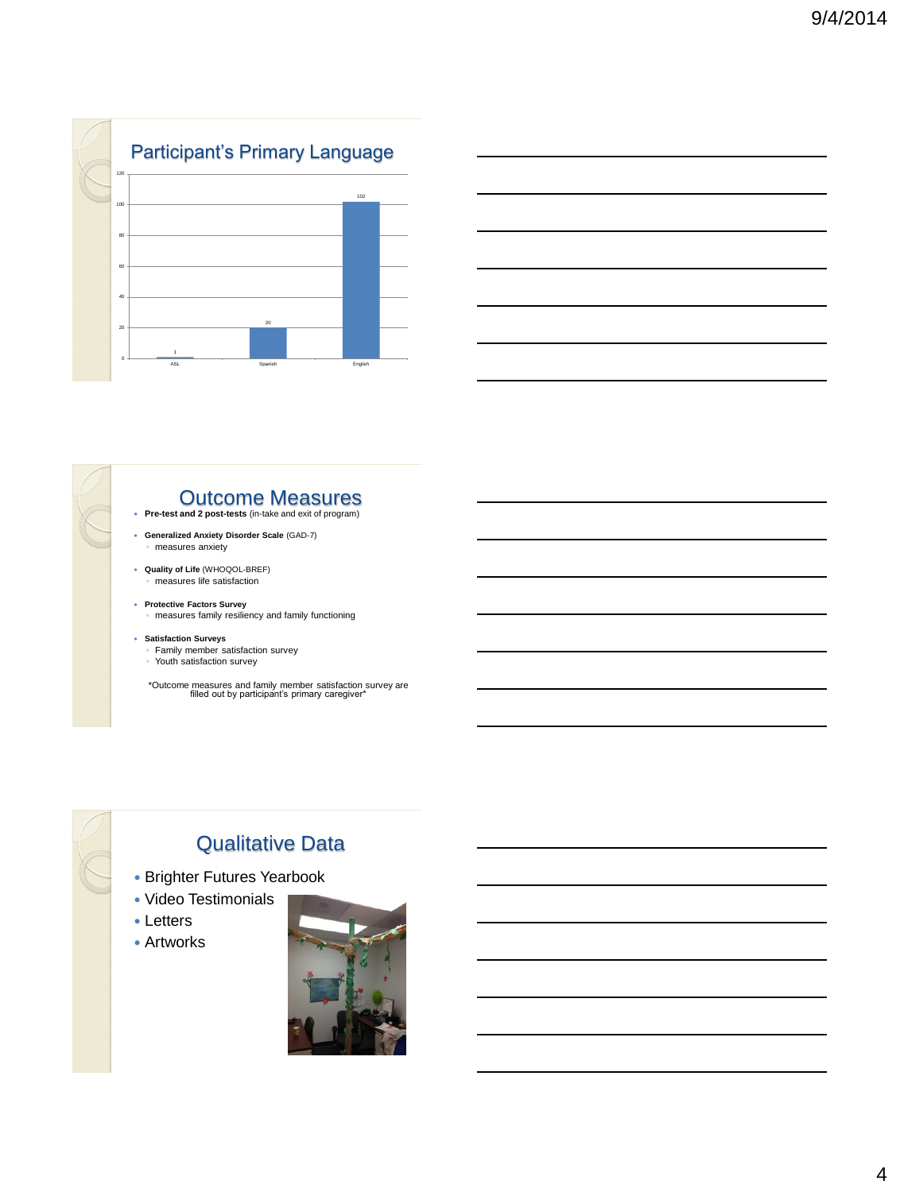



#### Outcome Measures

- **Pre-test and 2 post-tests** (in-take and exit of program)
- **Generalized Anxiety Disorder Scale** (GAD-7) ◦ measures anxiety
- **Quality of Life** (WHOQOL-BREF) measures life satisfaction
- **Protective Factors Survey** ◦ measures family resiliency and family functioning
- **Satisfaction Surveys**
	- Family member satisfaction survey
	- Youth satisfaction survey
	- \*Outcome measures and family member satisfaction survey are filled out by participant's primary caregiver\*

## Qualitative Data

- Brighter Futures Yearbook
- Video Testimonials
- Letters
- Artworks

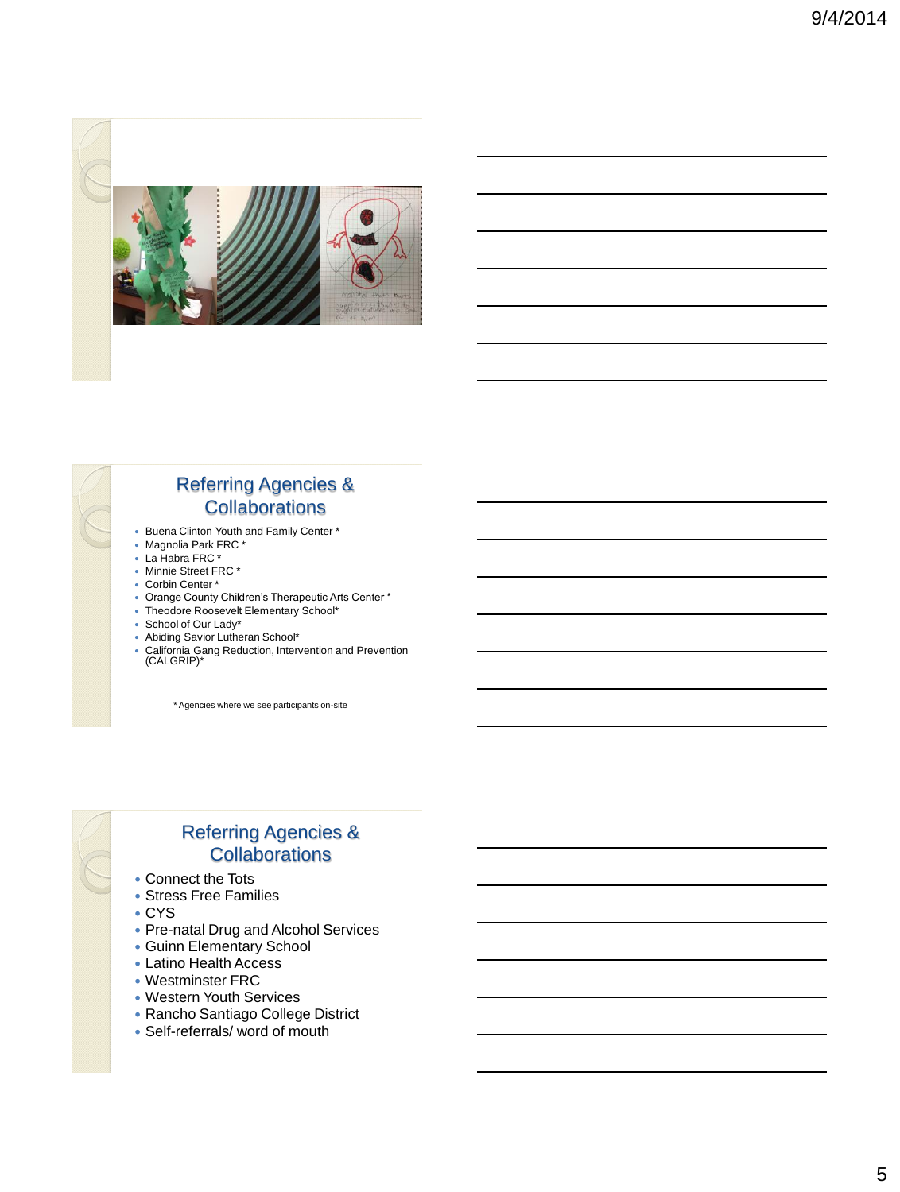



#### Referring Agencies & **Collaborations**

- Buena Clinton Youth and Family Center \*
- Magnolia Park FRC \*
- La Habra FRC \*
- Minnie Street FRC \*
- Corbin Center \*
- Orange County Children's Therapeutic Arts Center \*
- Theodore Roosevelt Elementary School\*
- School of Our Lady\*
- Abiding Savior Lutheran School\*
- California Gang Reduction, Intervention and Prevention (CALGRIP)\*

\* Agencies where we see participants on-site

### Referring Agencies & **Collaborations**

- Connect the Tots
- Stress Free Families
- CYS
- Pre-natal Drug and Alcohol Services
- Guinn Elementary School
- Latino Health Access
- Westminster FRC
- Western Youth Services
- Rancho Santiago College District
- Self-referrals/ word of mouth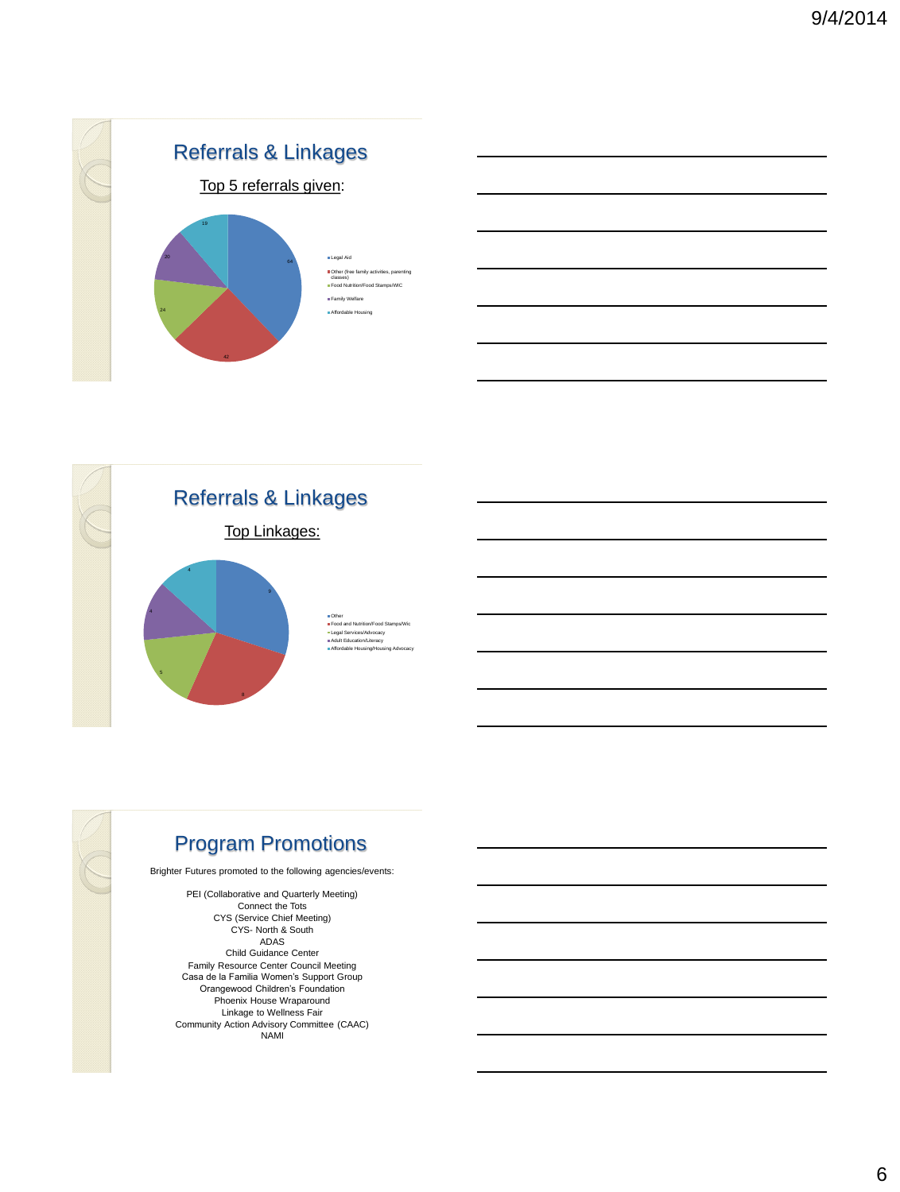



## Program Promotions

Brighter Futures promoted to the following agencies/events:

PEI (Collaborative and Quarterly Meeting) Connect the Tots CYS (Service Chief Meeting) CYS- North & South ADAS Child Guidance Center Family Resource Center Council Meeting Casa de la Familia Women's Support Group Orangewood Children's Foundation Phoenix House Wraparound Linkage to Wellness Fair Community Action Advisory Committee (CAAC) NAMI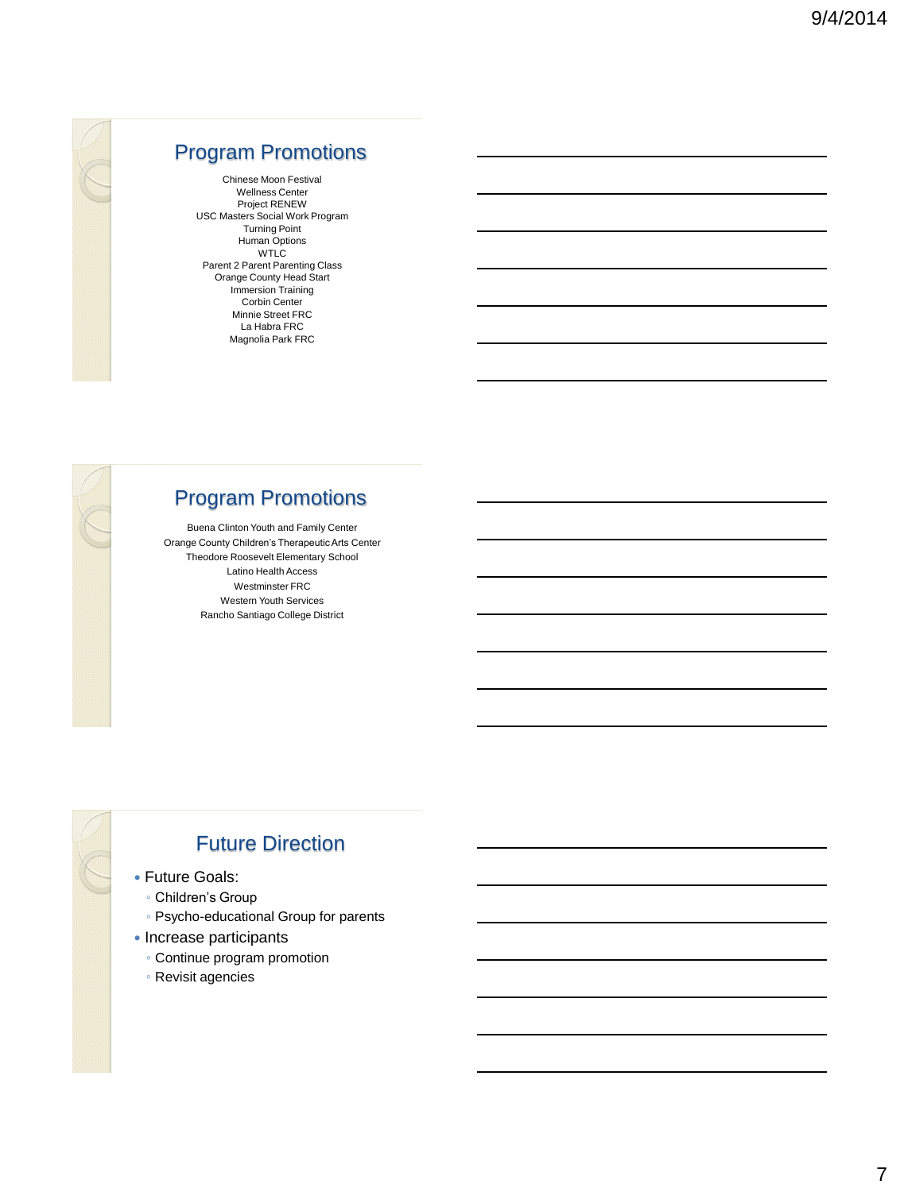

## Program Promotions

Chinese Moon Festival Wellness Center Project RENEW USC Masters Social Work Program Turning Point Human Options WTLC Parent 2 Parent Parenting Class Orange County Head Start Immersion Training Corbin Center Minnie Street FRC La Habra FRC Magnolia Park FRC



## Program Promotions

Buena Clinton Youth and Family Center Orange County Children's Therapeutic Arts Center Theodore Roosevelt Elementary School Latino Health Access Westminster FRC Western Youth Services Rancho Santiago College District

## Future Direction

- Future Goals:
	- Children's Group
	- Psycho-educational Group for parents
- Increase participants
	- Continue program promotion
	- Revisit agencies